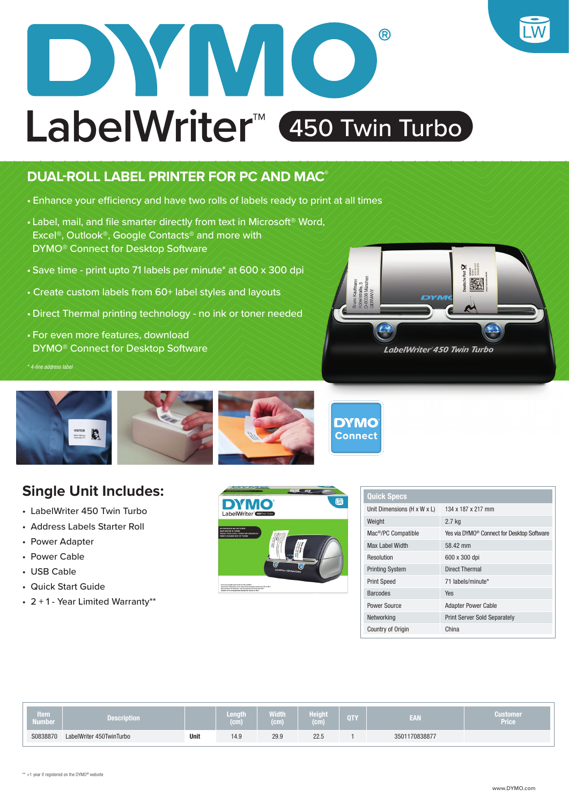

## **DUAL-ROLL LABEL PRINTER FOR PC AND MAC®**

- Enhance your efficiency and have two rolls of labels ready to print at all times
- Label, mail, and file smarter directly from text in Microsoft® Word, Excel®, Outlook®, Google Contacts® and more with DYMO® Connect for Desktop Software
- Save time print upto 71 labels per minute\* at 600 x 300 dpi
- Create custom labels from 60+ label styles and layouts
- Direct Thermal printing technology no ink or toner needed
- For even more features, download DYMO® Connect for Desktop Software

*\* 4-line address label*





## **Single Unit Includes:**

- LabelWriter 450 Twin Turbo
- Address Labels Starter Roll
- Power Adapter
- Power Cable
- USB Cable
- Quick Start Guide
- 2 + 1 Year Limited Warranty\*\*



| <b>Quick Specs</b>              |                                                        |
|---------------------------------|--------------------------------------------------------|
| Unit Dimensions (H x W x L)     | 134 x 187 x 217 mm                                     |
| Weight                          | 2.7 kg                                                 |
| Mac <sup>®</sup> /PC Compatible | Yes via DYMO <sup>®</sup> Connect for Desktop Software |
| Max Label Width                 | 58.42 mm                                               |
| Resolution                      | 600 x 300 dpi                                          |
| <b>Printing System</b>          | <b>Direct Thermal</b>                                  |
| <b>Print Speed</b>              | 71 labels/minute*                                      |
| <b>Barcodes</b>                 | Yes                                                    |
| Power Source                    | <b>Adapter Power Cable</b>                             |
| Networking                      | <b>Print Server Sold Separately</b>                    |
| <b>Country of Origin</b>        | China                                                  |

| Item<br>Number | and the contract of the con-<br><b>Description</b> |      | Lengt<br>$\mathbf{r}$<br>.<br>ست | an an an A<br>.<br><b>Contract Contract</b><br>10111<br><b>CALL</b> | <b>The Section</b><br>.<br>.<br><b>Contract</b><br>GШ | <b>QTY</b> | CAT.<br>≝≙W   | Customer<br>Price <sup>1</sup> |
|----------------|----------------------------------------------------|------|----------------------------------|---------------------------------------------------------------------|-------------------------------------------------------|------------|---------------|--------------------------------|
| S0838870       | LabelWriter 450TwinTurbo                           | Unit | 14.9                             | 29.9                                                                | 22.5                                                  |            | 3501170838877 |                                |